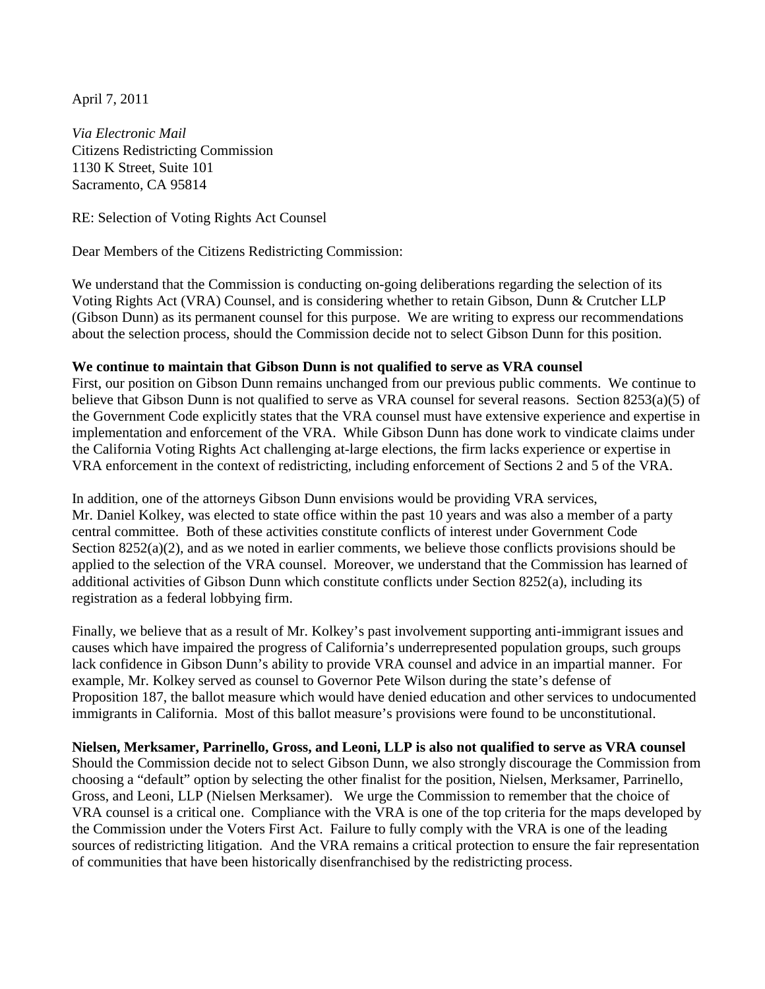April 7, 2011

*Via Electronic Mail*  Citizens Redistricting Commission 1130 K Street, Suite 101 Sacramento, CA 95814

RE: Selection of Voting Rights Act Counsel

Dear Members of the Citizens Redistricting Commission:

We understand that the Commission is conducting on-going deliberations regarding the selection of its Voting Rights Act (VRA) Counsel, and is considering whether to retain Gibson, Dunn & Crutcher LLP (Gibson Dunn) as its permanent counsel for this purpose. We are writing to express our recommendations about the selection process, should the Commission decide not to select Gibson Dunn for this position.

## **We continue to maintain that Gibson Dunn is not qualified to serve as VRA counsel**

First, our position on Gibson Dunn remains unchanged from our previous public comments. We continue to believe that Gibson Dunn is not qualified to serve as VRA counsel for several reasons. Section 8253(a)(5) of the Government Code explicitly states that the VRA counsel must have extensive experience and expertise in implementation and enforcement of the VRA. While Gibson Dunn has done work to vindicate claims under the California Voting Rights Act challenging at-large elections, the firm lacks experience or expertise in VRA enforcement in the context of redistricting, including enforcement of Sections 2 and 5 of the VRA.

In addition, one of the attorneys Gibson Dunn envisions would be providing VRA services, Mr. Daniel Kolkey, was elected to state office within the past 10 years and was also a member of a party central committee. Both of these activities constitute conflicts of interest under Government Code Section  $8252(a)(2)$ , and as we noted in earlier comments, we believe those conflicts provisions should be applied to the selection of the VRA counsel. Moreover, we understand that the Commission has learned of additional activities of Gibson Dunn which constitute conflicts under Section 8252(a), including its registration as a federal lobbying firm.

Finally, we believe that as a result of Mr. Kolkey's past involvement supporting anti-immigrant issues and causes which have impaired the progress of California's underrepresented population groups, such groups lack confidence in Gibson Dunn's ability to provide VRA counsel and advice in an impartial manner. For example, Mr. Kolkey served as counsel to Governor Pete Wilson during the state's defense of Proposition 187, the ballot measure which would have denied education and other services to undocumented immigrants in California. Most of this ballot measure's provisions were found to be unconstitutional.

**Nielsen, Merksamer, Parrinello, Gross, and Leoni, LLP is also not qualified to serve as VRA counsel**  Should the Commission decide not to select Gibson Dunn, we also strongly discourage the Commission from choosing a "default" option by selecting the other finalist for the position, Nielsen, Merksamer, Parrinello, Gross, and Leoni, LLP (Nielsen Merksamer). We urge the Commission to remember that the choice of VRA counsel is a critical one. Compliance with the VRA is one of the top criteria for the maps developed by the Commission under the Voters First Act. Failure to fully comply with the VRA is one of the leading sources of redistricting litigation. And the VRA remains a critical protection to ensure the fair representation of communities that have been historically disenfranchised by the redistricting process.